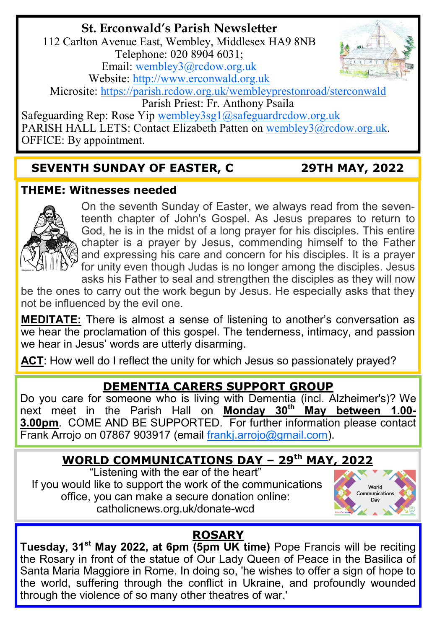# **St. Erconwald's Parish Newsletter**

112 Carlton Avenue East, Wembley, Middlesex HA9 8NB Telephone: 020 8904 6031; Email: [wembley3@rcdow.org.uk](mailto:wembley3@rcdow.org.uk) Website: [http://www.erconwald.org.uk](http://www.erconwald.org.uk/)



Microsite:<https://parish.rcdow.org.uk/wembleyprestonroad/sterconwald>

Parish Priest: Fr. Anthony Psaila

Safeguarding Rep: Rose Yip wembley3sg1@safeguardrcdow.org.uk PARISH HALL LETS: Contact Elizabeth Patten on [wembley3@rcdow.org.uk.](mailto:wembley3@rcdow.org.uk) OFFICE: By appointment.

## **SEVENTH SUNDAY OF EASTER, C 29TH MAY, 2022**

#### **THEME: Witnesses needed**



On the seventh Sunday of Easter, we always read from the seventeenth chapter of John's Gospel. As Jesus prepares to return to God, he is in the midst of a long prayer for his disciples. This entire chapter is a prayer by Jesus, commending himself to the Father and expressing his care and concern for his disciples. It is a prayer for unity even though Judas is no longer among the disciples. Jesus asks his Father to seal and strengthen the disciples as they will now

be the ones to carry out the work begun by Jesus. He especially asks that they not be influenced by the evil one.

**MEDITATE:** There is almost a sense of listening to another's conversation as we hear the proclamation of this gospel. The tenderness, intimacy, and passion we hear in Jesus' words are utterly disarming.

**ACT**: How well do I reflect the unity for which Jesus so passionately prayed?

#### **DEMENTIA CARERS SUPPORT GROUP**

Do you care for someone who is living with Dementia (incl. Alzheimer's)? We next meet in the Parish Hall on **Monday 30th May between 1.00- 3.00pm**. COME AND BE SUPPORTED. For further information please contact Frank Arrojo on 07867 903917 (email [frankj.arrojo@gmail.com\).](https://webmail.rcdow.org.uk/owa/redir.aspx?C=AluOoYC2r0ifKAncMYqOCkx7xzmEHtAIasObBaVo7MHov6NOZb-RUeBD0yWfSoHXbaNqp4acqOA.&URL=mailto%3afrankj.arrojo%40gmail.com)

## **WORLD COMMUNICATIONS DAY – 29th MAY, 2022**

"Listening with the ear of the heart" If you would like to support the work of the communications office, you can make a secure donation online: catholicnews.org.uk/donate-wcd



# **ROSARY**

**Tuesday, 31st May 2022, at 6pm (5pm UK time)** Pope Francis will be reciting the Rosary in front of the statue of Our Lady Queen of Peace in the Basilica of Santa Maria Maggiore in Rome. In doing so, 'he wishes to offer a sign of hope to the world, suffering through the conflict in Ukraine, and profoundly wounded through the violence of so many other theatres of war.'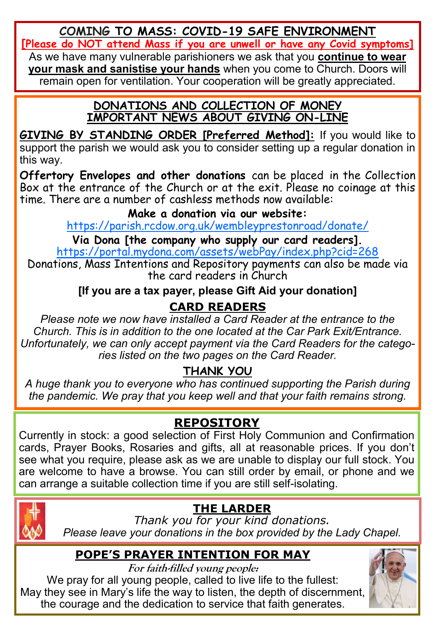**COMING TO MASS: COVID-19 SAFE ENVIRONMENT**

**[Please do NOT attend Mass if you are unwell or have any Covid symptoms]**

As we have many vulnerable parishioners we ask that you **continue to wear your mask and sanistise your hands** when you come to Church. Doors will remain open for ventilation. Your cooperation will be greatly appreciated.

#### **DONATIONS AND COLLECTION OF MONEY IMPORTANT NEWS ABOUT GIVING ON-LINE**

**GIVING BY STANDING ORDER [Preferred Method]:** If you would like to support the parish we would ask you to consider setting up a regular donation in this way.

**Offertory Envelopes and other donations** can be placed in the Collection Box at the entrance of the Church or at the exit. Please no coinage at this time. There are a number of cashless methods now available:

#### **Make a donation via our website:**

<https://parish.rcdow.org.uk/wembleyprestonroad/donate/>

**Via Dona [the company who supply our card readers].** <https://portal.mydona.com/assets/webPay/index.php?cid=268>

Donations, Mass Intentions and Repository payments can also be made via the card readers in Church

#### **[If you are a tax payer, please Gift Aid your donation]**

## **CARD READERS**

*Please note we now have installed a Card Reader at the entrance to the Church. This is in addition to the one located at the Car Park Exit/Entrance. Unfortunately, we can only accept payment via the Card Readers for the categories listed on the two pages on the Card Reader.*

# **THANK YOU**

*A huge thank you to everyone who has continued supporting the Parish during the pandemic. We pray that you keep well and that your faith remains strong.*

# **REPOSITORY**

Currently in stock: a good selection of First Holy Communion and Confirmation cards, Prayer Books, Rosaries and gifts, all at reasonable prices. If you don't see what you require, please ask as we are unable to display our full stock. You are welcome to have a browse. You can still order by email, or phone and we can arrange a suitable collection time if you are still self-isolating.



**THE LARDER**

*Thank you for your kind donations. Please leave your donations in the box provided by the Lady Chapel.*

# **POPE'S PRAYER INTENTION FOR MAY**

**For faith-filled young people:**

We pray for all young people, called to live life to the fullest: May they see in Mary's life the way to listen, the depth of discernment, the courage and the dedication to service that faith generates.

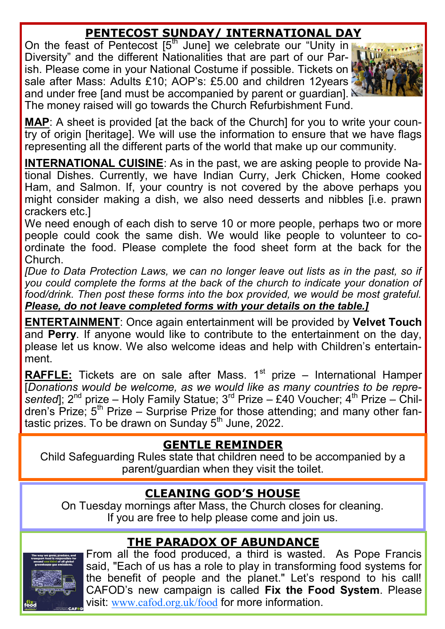## **PENTECOST SUNDAY/ INTERNATIONAL DAY**

On the feast of Pentecost  $5<sup>th</sup>$  June] we celebrate our "Unity in Diversity" and the different Nationalities that are part of our Parish. Please come in your National Costume if possible. Tickets on sale after Mass: Adults £10; AOP's: £5.00 and children 12years and under free [and must be accompanied by parent or guardian].  $\mathbb A$ The money raised will go towards the Church Refurbishment Fund.



**MAP**: A sheet is provided [at the back of the Church] for you to write your country of origin [heritage]. We will use the information to ensure that we have flags representing all the different parts of the world that make up our community.

**INTERNATIONAL CUISINE**: As in the past, we are asking people to provide National Dishes. Currently, we have Indian Curry, Jerk Chicken, Home cooked Ham, and Salmon. If, your country is not covered by the above perhaps you might consider making a dish, we also need desserts and nibbles [i.e. prawn crackers etc.]

We need enough of each dish to serve 10 or more people, perhaps two or more people could cook the same dish. We would like people to volunteer to coordinate the food. Please complete the food sheet form at the back for the Church.

*[Due to Data Protection Laws, we can no longer leave out lists as in the past, so if you could complete the forms at the back of the church to indicate your donation of*  food/drink. Then post these forms into the box provided, we would be most grateful. *Please, do not leave completed forms with your details on the table.]*

**ENTERTAINMENT**: Once again entertainment will be provided by **Velvet Touch** and **Perry**. If anyone would like to contribute to the entertainment on the day, please let us know. We also welcome ideas and help with Children's entertainment.

**RAFFLE:** Tickets are on sale after Mass. 1<sup>st</sup> prize – International Hamper [*Donations would be welcome, as we would like as many countries to be repre*sented]; 2<sup>nd</sup> prize – Holy Family Statue; 3<sup>rd</sup> Prize – £40 Voucher; 4<sup>th</sup> Prize – Children's Prize;  $5<sup>th</sup>$  Prize – Surprise Prize for those attending; and many other fantastic prizes. To be drawn on Sunday  $5<sup>th</sup>$  June, 2022.

#### **GENTLE REMINDER**

Child Safeguarding Rules state that children need to be accompanied by a parent/guardian when they visit the toilet.

#### **CLEANING GOD'S HOUSE**

On Tuesday mornings after Mass, the Church closes for cleaning. If you are free to help please come and join us.

## **THE PARADOX OF ABUNDANCE**



From all the food produced, a third is wasted. As Pope Francis said, "Each of us has a role to play in transforming food systems for the benefit of people and the planet." Let's respond to his call! CAFOD's new campaign is called **Fix the Food System**. Please visit: [www.cafod.org.uk/food](http://www.cafod.org.uk/food) for more information.